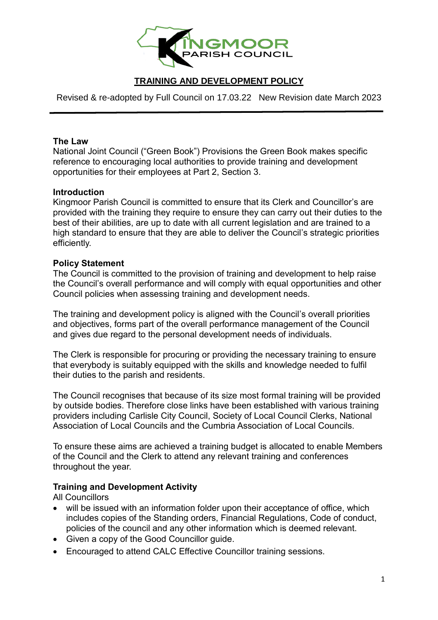

# **TRAINING AND DEVELOPMENT POLICY**

Revised & re-adopted by Full Council on 17.03.22 New Revision date March 2023

### **The Law**

National Joint Council ("Green Book") Provisions the Green Book makes specific reference to encouraging local authorities to provide training and development opportunities for their employees at Part 2, Section 3.

### **Introduction**

Kingmoor Parish Council is committed to ensure that its Clerk and Councillor's are provided with the training they require to ensure they can carry out their duties to the best of their abilities, are up to date with all current legislation and are trained to a high standard to ensure that they are able to deliver the Council's strategic priorities efficiently.

#### **Policy Statement**

The Council is committed to the provision of training and development to help raise the Council's overall performance and will comply with equal opportunities and other Council policies when assessing training and development needs.

The training and development policy is aligned with the Council's overall priorities and objectives, forms part of the overall performance management of the Council and gives due regard to the personal development needs of individuals.

The Clerk is responsible for procuring or providing the necessary training to ensure that everybody is suitably equipped with the skills and knowledge needed to fulfil their duties to the parish and residents.

The Council recognises that because of its size most formal training will be provided by outside bodies. Therefore close links have been established with various training providers including Carlisle City Council, Society of Local Council Clerks, National Association of Local Councils and the Cumbria Association of Local Councils.

To ensure these aims are achieved a training budget is allocated to enable Members of the Council and the Clerk to attend any relevant training and conferences throughout the year.

### **Training and Development Activity**

All Councillors

- will be issued with an information folder upon their acceptance of office, which includes copies of the Standing orders, Financial Regulations, Code of conduct, policies of the council and any other information which is deemed relevant.
- Given a copy of the Good Councillor guide.
- Encouraged to attend CALC Effective Councillor training sessions.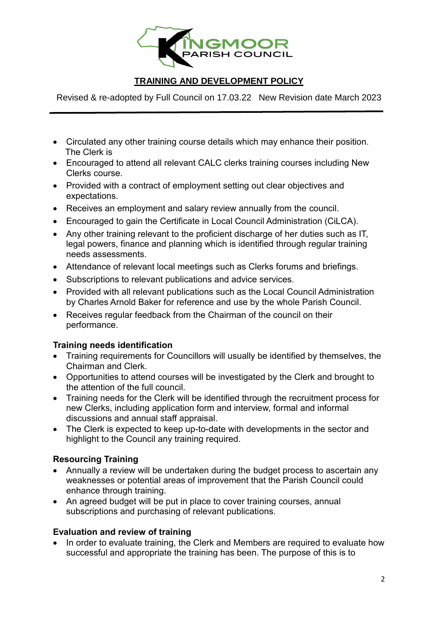

# **TRAINING AND DEVELOPMENT POLICY**

Revised & re-adopted by Full Council on 17.03.22 New Revision date March 2023

- Circulated any other training course details which may enhance their position. The Clerk is
- Encouraged to attend all relevant CALC clerks training courses including New Clerks course.
- Provided with a contract of employment setting out clear objectives and expectations.
- Receives an employment and salary review annually from the council.
- Encouraged to gain the Certificate in Local Council Administration (CiLCA).
- Any other training relevant to the proficient discharge of her duties such as IT, legal powers, finance and planning which is identified through regular training needs assessments.
- Attendance of relevant local meetings such as Clerks forums and briefings.
- Subscriptions to relevant publications and advice services.
- Provided with all relevant publications such as the Local Council Administration by Charles Arnold Baker for reference and use by the whole Parish Council.
- Receives regular feedback from the Chairman of the council on their performance.

## **Training needs identification**

- Training requirements for Councillors will usually be identified by themselves, the Chairman and Clerk.
- Opportunities to attend courses will be investigated by the Clerk and brought to the attention of the full council.
- Training needs for the Clerk will be identified through the recruitment process for new Clerks, including application form and interview, formal and informal discussions and annual staff appraisal.
- The Clerk is expected to keep up-to-date with developments in the sector and highlight to the Council any training required.

## **Resourcing Training**

- Annually a review will be undertaken during the budget process to ascertain any weaknesses or potential areas of improvement that the Parish Council could enhance through training.
- An agreed budget will be put in place to cover training courses, annual subscriptions and purchasing of relevant publications.

### **Evaluation and review of training**

• In order to evaluate training, the Clerk and Members are required to evaluate how successful and appropriate the training has been. The purpose of this is to